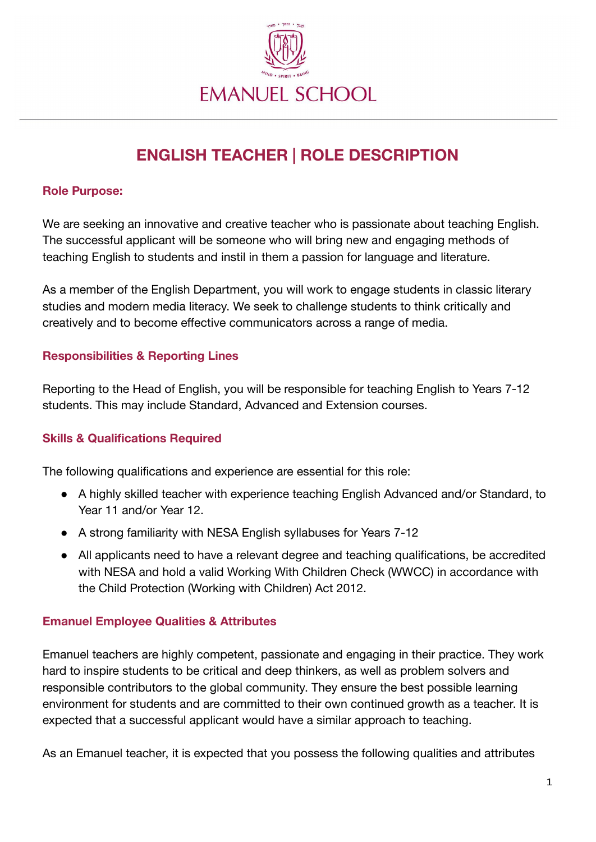

# **ENGLISH TEACHER | ROLE DESCRIPTION**

#### **Role Purpose:**

We are seeking an innovative and creative teacher who is passionate about teaching English. The successful applicant will be someone who will bring new and engaging methods of teaching English to students and instil in them a passion for language and literature.

As a member of the English Department, you will work to engage students in classic literary studies and modern media literacy. We seek to challenge students to think critically and creatively and to become effective communicators across a range of media.

### **Responsibilities & Reporting Lines**

Reporting to the Head of English, you will be responsible for teaching English to Years 7-12 students. This may include Standard, Advanced and Extension courses.

## **Skills & Qualifications Required**

The following qualifications and experience are essential for this role:

- A highly skilled teacher with experience teaching English Advanced and/or Standard, to Year 11 and/or Year 12.
- A strong familiarity with NESA English syllabuses for Years 7-12
- All applicants need to have a relevant degree and teaching qualifications, be accredited with NESA and hold a valid Working With Children Check (WWCC) in accordance with the Child Protection (Working with Children) Act 2012.

#### **Emanuel Employee Qualities & Attributes**

Emanuel teachers are highly competent, passionate and engaging in their practice. They work hard to inspire students to be critical and deep thinkers, as well as problem solvers and responsible contributors to the global community. They ensure the best possible learning environment for students and are committed to their own continued growth as a teacher. It is expected that a successful applicant would have a similar approach to teaching.

As an Emanuel teacher, it is expected that you possess the following qualities and attributes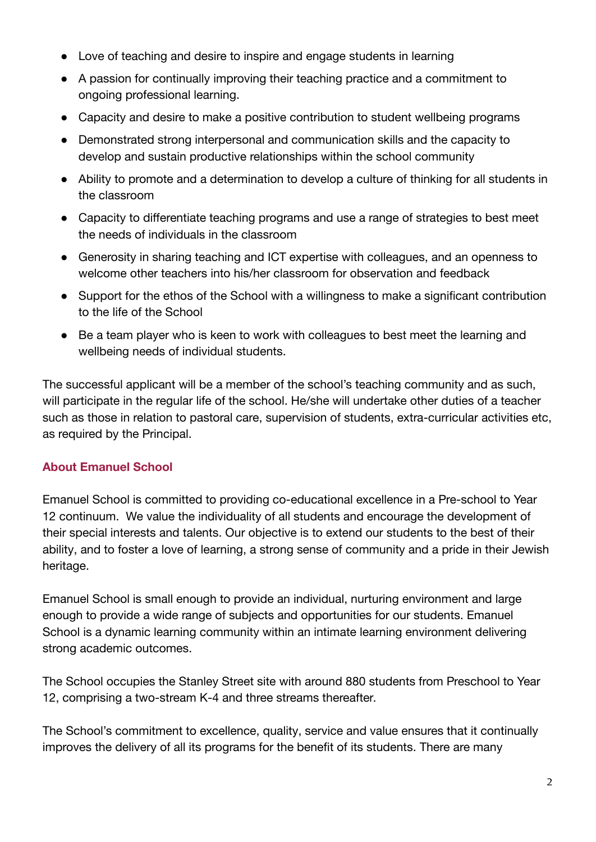- Love of teaching and desire to inspire and engage students in learning
- A passion for continually improving their teaching practice and a commitment to ongoing professional learning.
- Capacity and desire to make a positive contribution to student wellbeing programs
- Demonstrated strong interpersonal and communication skills and the capacity to develop and sustain productive relationships within the school community
- Ability to promote and a determination to develop a culture of thinking for all students in the classroom
- Capacity to differentiate teaching programs and use a range of strategies to best meet the needs of individuals in the classroom
- Generosity in sharing teaching and ICT expertise with colleagues, and an openness to welcome other teachers into his/her classroom for observation and feedback
- Support for the ethos of the School with a willingness to make a significant contribution to the life of the School
- Be a team player who is keen to work with colleagues to best meet the learning and wellbeing needs of individual students.

The successful applicant will be a member of the school's teaching community and as such, will participate in the regular life of the school. He/she will undertake other duties of a teacher such as those in relation to pastoral care, supervision of students, extra-curricular activities etc, as required by the Principal.

## **About Emanuel School**

Emanuel School is committed to providing co-educational excellence in a Pre-school to Year 12 continuum. We value the individuality of all students and encourage the development of their special interests and talents. Our objective is to extend our students to the best of their ability, and to foster a love of learning, a strong sense of community and a pride in their Jewish heritage.

Emanuel School is small enough to provide an individual, nurturing environment and large enough to provide a wide range of subjects and opportunities for our students. Emanuel School is a dynamic learning community within an intimate learning environment delivering strong academic outcomes.

The School occupies the Stanley Street site with around 880 students from Preschool to Year 12, comprising a two-stream K-4 and three streams thereafter.

The School's commitment to excellence, quality, service and value ensures that it continually improves the delivery of all its programs for the benefit of its students. There are many